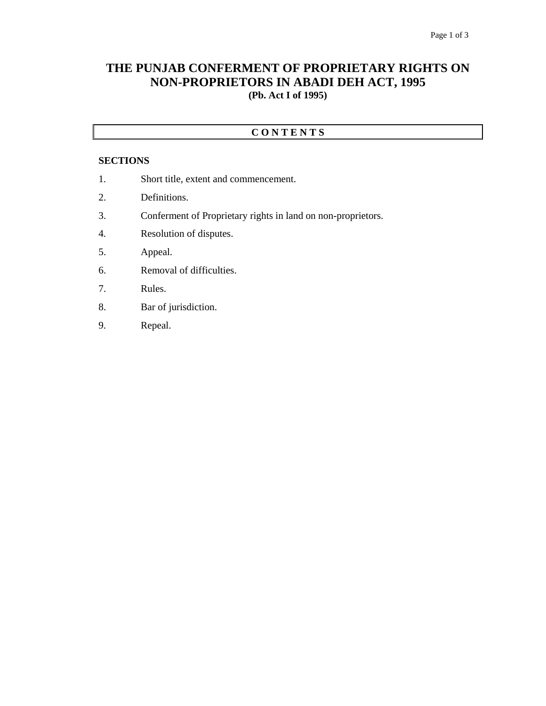## **THE PUNJAB CONFERMENT OF PROPRIETARY RIGHTS ON NON-PROPRIETORS IN ABADI DEH ACT, 1995 (Pb. Act I of 1995)**

## **C O N T E N T S**

#### **SECTIONS**

- 1. Short title, extent and commencement.
- 2. Definitions.
- 3. Conferment of Proprietary rights in land on non-proprietors.
- 4. Resolution of disputes.
- 5. Appeal.
- 6. Removal of difficulties.
- 7. Rules.
- 8. Bar of jurisdiction.
- 9. Repeal.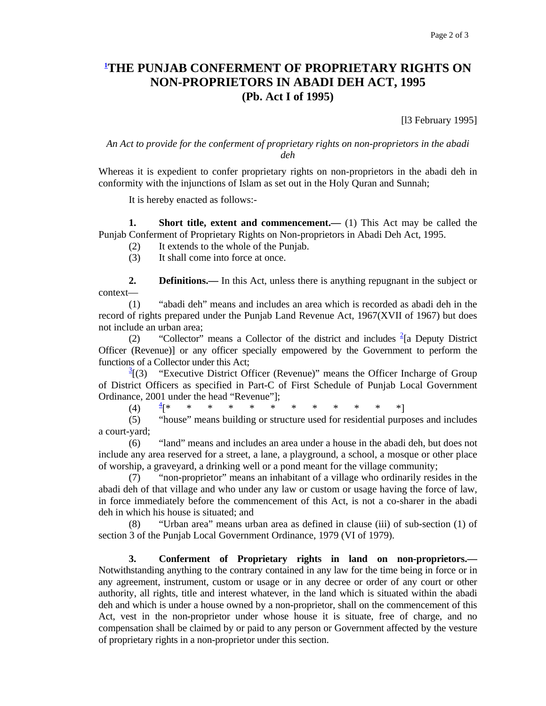# **1 THE PUNJAB CONFERMENT OF PROPRIETARY RIGHTS ON NON-PROPRIETORS IN ABADI DEH ACT, 1995 (Pb. Act I of 1995)**

[l3 February 1995]

### *An Act to provide for the conferment of proprietary rights on non-proprietors in the abadi deh*

Whereas it is expedient to confer proprietary rights on non-proprietors in the abadi deh in conformity with the injunctions of Islam as set out in the Holy Quran and Sunnah;

It is hereby enacted as follows:-

**1.** Short title, extent and commencement.— (1) This Act may be called the Punjab Conferment of Proprietary Rights on Non-proprietors in Abadi Deh Act, 1995.

- (2) It extends to the whole of the Punjab.
- (3) It shall come into force at once.

**2. Definitions.**— In this Act, unless there is anything repugnant in the subject or context—

 (1) "abadi deh" means and includes an area which is recorded as abadi deh in the record of rights prepared under the Punjab Land Revenue Act, 1967(XVII of 1967) but does not include an urban area;

(2) "Collector" means a Collector of the district and includes  $\frac{2}{3}$ [a Deputy District Officer (Revenue)] or any officer specially empowered by the Government to perform the functions of a Collector under this Act;

 $\frac{3}{2}$ [(3) "Executive District Officer (Revenue)" means the Officer Incharge of Group of District Officers as specified in Part-C of First Schedule of Punjab Local Government Ordinance, 2001 under the head "Revenue"];

 $(4)$   $\frac{4}{3}$   $\approx$ [\* \* \* \* \* \* \* \* \* \* \* \*]

 (5) "house" means building or structure used for residential purposes and includes a court-yard;

 (6) "land" means and includes an area under a house in the abadi deh, but does not include any area reserved for a street, a lane, a playground, a school, a mosque or other place of worship, a graveyard, a drinking well or a pond meant for the village community;

 (7) "non-proprietor" means an inhabitant of a village who ordinarily resides in the abadi deh of that village and who under any law or custom or usage having the force of law, in force immediately before the commencement of this Act, is not a co-sharer in the abadi deh in which his house is situated; and

"Urban area" means urban area as defined in clause (iii) of sub-section (1) of section 3 of the Punjab Local Government Ordinance, 1979 (VI of 1979).

 **3. Conferment of Proprietary rights in land on non-proprietors.—** Notwithstanding anything to the contrary contained in any law for the time being in force or in any agreement, instrument, custom or usage or in any decree or order of any court or other authority, all rights, title and interest whatever, in the land which is situated within the abadi deh and which is under a house owned by a non-proprietor, shall on the commencement of this Act, vest in the non-proprietor under whose house it is situate, free of charge, and no compensation shall be claimed by or paid to any person or Government affected by the vesture of proprietary rights in a non-proprietor under this section.